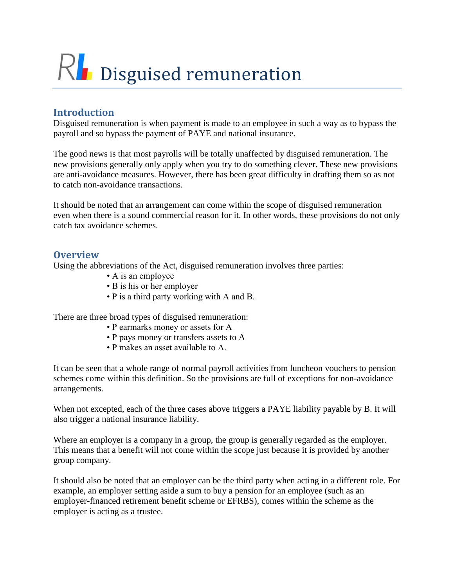# RL Disguised remuneration

# **Introduction**

Disguised remuneration is when payment is made to an employee in such a way as to bypass the payroll and so bypass the payment of PAYE and national insurance.

The good news is that most payrolls will be totally unaffected by disguised remuneration. The new provisions generally only apply when you try to do something clever. These new provisions are anti-avoidance measures. However, there has been great difficulty in drafting them so as not to catch non-avoidance transactions.

It should be noted that an arrangement can come within the scope of disguised remuneration even when there is a sound commercial reason for it. In other words, these provisions do not only catch tax avoidance schemes.

### **Overview**

Using the abbreviations of the Act, disguised remuneration involves three parties:

- A is an employee
- B is his or her employer
- P is a third party working with A and B.

There are three broad types of disguised remuneration:

- P earmarks money or assets for A
- P pays money or transfers assets to A
- P makes an asset available to A.

It can be seen that a whole range of normal payroll activities from luncheon vouchers to pension schemes come within this definition. So the provisions are full of exceptions for non-avoidance arrangements.

When not excepted, each of the three cases above triggers a PAYE liability payable by B. It will also trigger a national insurance liability.

Where an employer is a company in a group, the group is generally regarded as the employer. This means that a benefit will not come within the scope just because it is provided by another group company.

It should also be noted that an employer can be the third party when acting in a different role. For example, an employer setting aside a sum to buy a pension for an employee (such as an employer-financed retirement benefit scheme or EFRBS), comes within the scheme as the employer is acting as a trustee.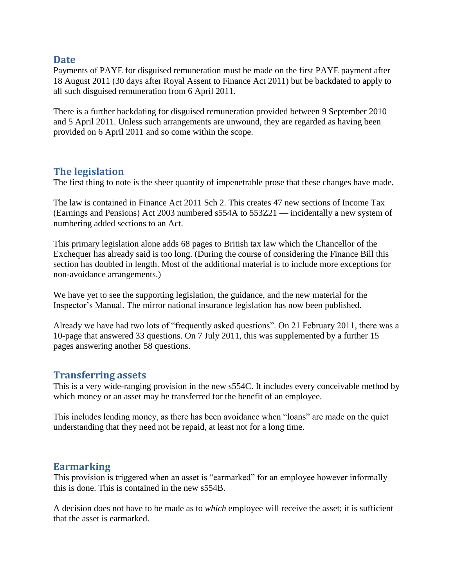#### **Date**

Payments of PAYE for disguised remuneration must be made on the first PAYE payment after 18 August 2011 (30 days after Royal Assent to Finance Act 2011) but be backdated to apply to all such disguised remuneration from 6 April 2011.

There is a further backdating for disguised remuneration provided between 9 September 2010 and 5 April 2011. Unless such arrangements are unwound, they are regarded as having been provided on 6 April 2011 and so come within the scope.

### **The legislation**

The first thing to note is the sheer quantity of impenetrable prose that these changes have made.

The law is contained in Finance Act 2011 Sch 2. This creates 47 new sections of Income Tax (Earnings and Pensions) Act 2003 numbered s554A to 553Z21 — incidentally a new system of numbering added sections to an Act.

This primary legislation alone adds 68 pages to British tax law which the Chancellor of the Exchequer has already said is too long. (During the course of considering the Finance Bill this section has doubled in length. Most of the additional material is to include more exceptions for non-avoidance arrangements.)

We have yet to see the supporting legislation, the guidance, and the new material for the Inspector's Manual. The mirror national insurance legislation has now been published.

Already we have had two lots of "frequently asked questions". On 21 February 2011, there was a 10-page that answered 33 questions. On 7 July 2011, this was supplemented by a further 15 pages answering another 58 questions.

### **Transferring assets**

This is a very wide-ranging provision in the new s554C. It includes every conceivable method by which money or an asset may be transferred for the benefit of an employee.

This includes lending money, as there has been avoidance when "loans" are made on the quiet understanding that they need not be repaid, at least not for a long time.

### **Earmarking**

This provision is triggered when an asset is "earmarked" for an employee however informally this is done. This is contained in the new s554B.

A decision does not have to be made as to *which* employee will receive the asset; it is sufficient that the asset is earmarked.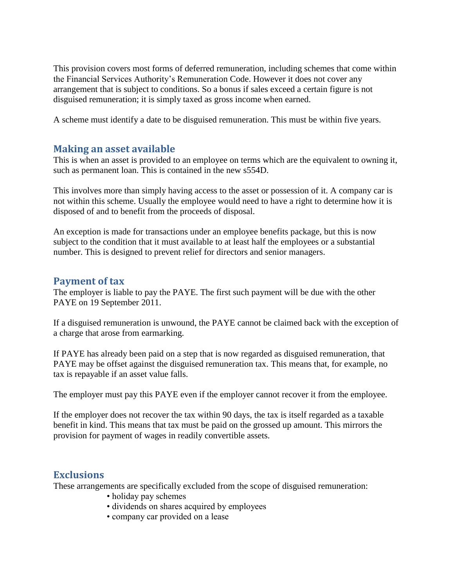This provision covers most forms of deferred remuneration, including schemes that come within the Financial Services Authority's Remuneration Code. However it does not cover any arrangement that is subject to conditions. So a bonus if sales exceed a certain figure is not disguised remuneration; it is simply taxed as gross income when earned.

A scheme must identify a date to be disguised remuneration. This must be within five years.

## **Making an asset available**

This is when an asset is provided to an employee on terms which are the equivalent to owning it, such as permanent loan. This is contained in the new s554D.

This involves more than simply having access to the asset or possession of it. A company car is not within this scheme. Usually the employee would need to have a right to determine how it is disposed of and to benefit from the proceeds of disposal.

An exception is made for transactions under an employee benefits package, but this is now subject to the condition that it must available to at least half the employees or a substantial number. This is designed to prevent relief for directors and senior managers.

### **Payment of tax**

The employer is liable to pay the PAYE. The first such payment will be due with the other PAYE on 19 September 2011.

If a disguised remuneration is unwound, the PAYE cannot be claimed back with the exception of a charge that arose from earmarking.

If PAYE has already been paid on a step that is now regarded as disguised remuneration, that PAYE may be offset against the disguised remuneration tax. This means that, for example, no tax is repayable if an asset value falls.

The employer must pay this PAYE even if the employer cannot recover it from the employee.

If the employer does not recover the tax within 90 days, the tax is itself regarded as a taxable benefit in kind. This means that tax must be paid on the grossed up amount. This mirrors the provision for payment of wages in readily convertible assets.

## **Exclusions**

These arrangements are specifically excluded from the scope of disguised remuneration:

- holiday pay schemes
- dividends on shares acquired by employees
- company car provided on a lease